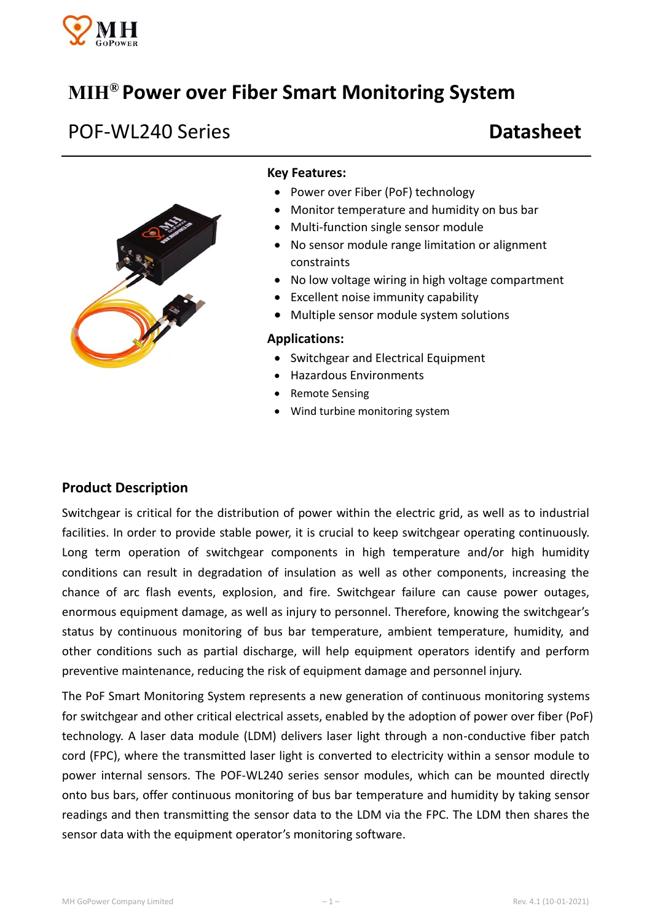

# **MIH® Power over Fiber Smart Monitoring System**

# POF-WL240 Series **Datasheet**



#### **Key Features:**

- Power over Fiber (PoF) technology
- Monitor temperature and humidity on bus bar
- Multi-function single sensor module
- No sensor module range limitation or alignment constraints
- No low voltage wiring in high voltage compartment
- Excellent noise immunity capability
- Multiple sensor module system solutions

#### **Applications:**

- Switchgear and Electrical Equipment
- Hazardous Environments
- Remote Sensing
- Wind turbine monitoring system

#### **Product Description**

Switchgear is critical for the distribution of power within the electric grid, as well as to industrial facilities. In order to provide stable power, it is crucial to keep switchgear operating continuously. Long term operation of switchgear components in high temperature and/or high humidity conditions can result in degradation of insulation as well as other components, increasing the chance of arc flash events, explosion, and fire. Switchgear failure can cause power outages, enormous equipment damage, as well as injury to personnel. Therefore, knowing the switchgear's status by continuous monitoring of bus bar temperature, ambient temperature, humidity, and other conditions such as partial discharge, will help equipment operators identify and perform preventive maintenance, reducing the risk of equipment damage and personnel injury.

The PoF Smart Monitoring System represents a new generation of continuous monitoring systems for switchgear and other critical electrical assets, enabled by the adoption of power over fiber (PoF) technology. A laser data module (LDM) delivers laser light through a non-conductive fiber patch cord (FPC), where the transmitted laser light is converted to electricity within a sensor module to power internal sensors. The POF-WL240 series sensor modules, which can be mounted directly onto bus bars, offer continuous monitoring of bus bar temperature and humidity by taking sensor readings and then transmitting the sensor data to the LDM via the FPC. The LDM then shares the sensor data with the equipment operator's monitoring software.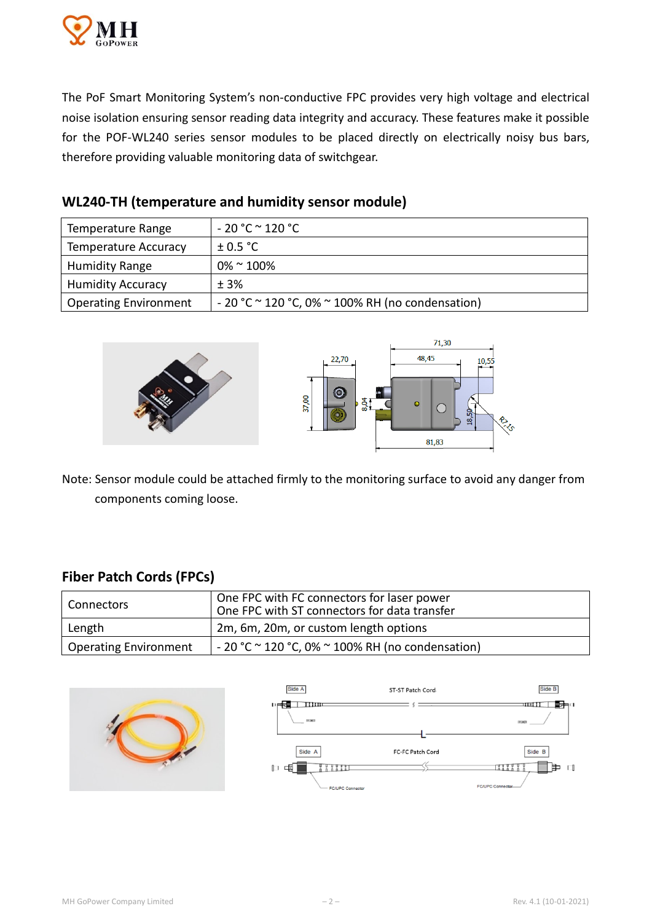

The PoF Smart Monitoring System's non-conductive FPC provides very high voltage and electrical noise isolation ensuring sensor reading data integrity and accuracy. These features make it possible for the POF-WL240 series sensor modules to be placed directly on electrically noisy bus bars, therefore providing valuable monitoring data of switchgear.

| Temperature Range            | $-20 °C \approx 120 °C$                                     |
|------------------------------|-------------------------------------------------------------|
| <b>Temperature Accuracy</b>  | $\pm$ 0.5 °C                                                |
| <b>Humidity Range</b>        | $0\%$ ~ 100%                                                |
| <b>Humidity Accuracy</b>     | ± 3%                                                        |
| <b>Operating Environment</b> | $-20$ °C $\sim$ 120 °C, 0% $\sim$ 100% RH (no condensation) |

## **WL240-TH (temperature and humidity sensor module)**



Note: Sensor module could be attached firmly to the monitoring surface to avoid any danger from components coming loose.

# **Fiber Patch Cords (FPCs)**

| l Connectors                 | One FPC with FC connectors for laser power<br>One FPC with ST connectors for data transfer |
|------------------------------|--------------------------------------------------------------------------------------------|
| Length                       | 2m, 6m, 20m, or custom length options                                                      |
| <b>Operating Environment</b> | $-20$ °C $\sim$ 120 °C, 0% $\sim$ 100% RH (no condensation)                                |

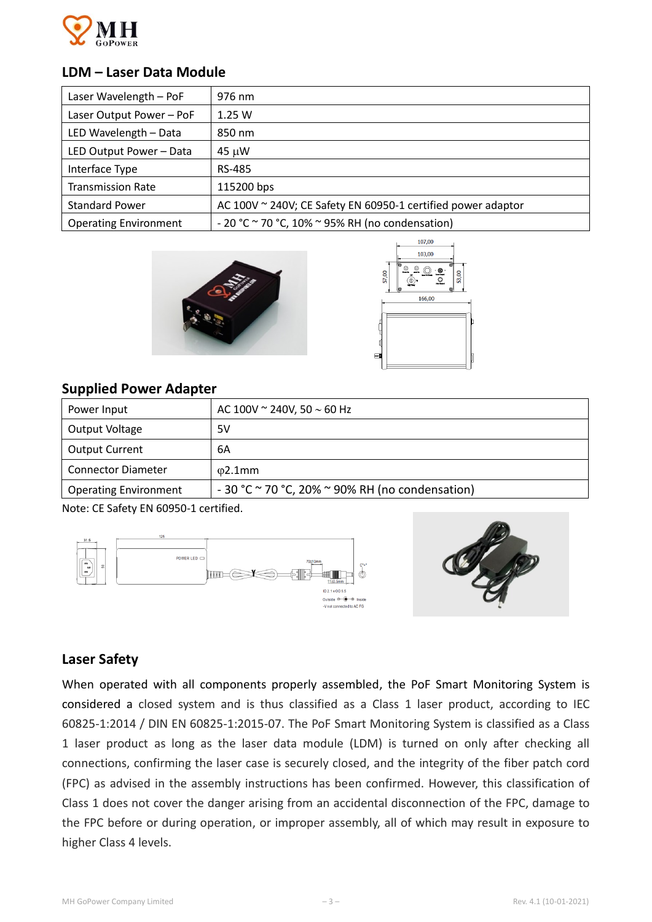

### **LDM – Laser Data Module**

| Laser Wavelength - PoF       | 976 nm                                                       |
|------------------------------|--------------------------------------------------------------|
| Laser Output Power - PoF     | 1.25W                                                        |
| LED Wavelength - Data        | 850 nm                                                       |
| LED Output Power - Data      | 45 µW                                                        |
| Interface Type               | RS-485                                                       |
| <b>Transmission Rate</b>     | 115200 bps                                                   |
| <b>Standard Power</b>        | AC 100V ~ 240V; CE Safety EN 60950-1 certified power adaptor |
| <b>Operating Environment</b> | - 20 °C $\sim$ 70 °C, 10% $\sim$ 95% RH (no condensation)    |





# **Supplied Power Adapter**

| Power Input                  | AC 100V $\sim$ 240V, 50 $\sim$ 60 Hz                       |
|------------------------------|------------------------------------------------------------|
| Output Voltage               | 5V                                                         |
| <b>Output Current</b>        | 6A                                                         |
| <b>Connector Diameter</b>    | $02.1$ mm                                                  |
| <b>Operating Environment</b> | $-30$ °C $\sim$ 70 °C, 20% $\sim$ 90% RH (no condensation) |

Note: CE Safety EN 60950-1 certified.





## **Laser Safety**

When operated with all components properly assembled, the PoF Smart Monitoring System is considered a closed system and is thus classified as a Class 1 laser product, according to IEC 60825-1:2014 / DIN EN 60825-1:2015-07. The PoF Smart Monitoring System is classified as a Class 1 laser product as long as the laser data module (LDM) is turned on only after checking all connections, confirming the laser case is securely closed, and the integrity of the fiber patch cord (FPC) as advised in the assembly instructions has been confirmed. However, this classification of Class 1 does not cover the danger arising from an accidental disconnection of the FPC, damage to the FPC before or during operation, or improper assembly, all of which may result in exposure to higher Class 4 levels.